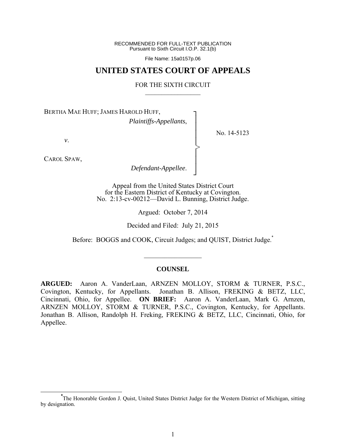RECOMMENDED FOR FULL-TEXT PUBLICATION Pursuant to Sixth Circuit I.O.P. 32.1(b)

File Name: 15a0157p.06

## **UNITED STATES COURT OF APPEALS**

#### FOR THE SIXTH CIRCUIT  $\mathcal{L}_\text{max}$

┐ │ │ │ │ │ │ │ ┘

>

No. 14-5123

BERTHA MAE HUFF; JAMES HAROLD HUFF,

*Plaintiffs-Appellants*,

*v*.

CAROL SPAW,

*Defendant-Appellee*.

Appeal from the United States District Court for the Eastern District of Kentucky at Covington. No. 2:13-cv-00212—David L. Bunning, District Judge.

Argued: October 7, 2014

Decided and Filed: July 21, 2015

Before: BOGGS and COOK, Circuit Judges; and QUIST, District Judge.

#### **COUNSEL**

 $\frac{1}{2}$ 

**ARGUED:** Aaron A. VanderLaan, ARNZEN MOLLOY, STORM & TURNER, P.S.C., Covington, Kentucky, for Appellants. Jonathan B. Allison, FREKING & BETZ, LLC, Cincinnati, Ohio, for Appellee. **ON BRIEF:** Aaron A. VanderLaan, Mark G. Arnzen, ARNZEN MOLLOY, STORM & TURNER, P.S.C., Covington, Kentucky, for Appellants. Jonathan B. Allison, Randolph H. Freking, FREKING & BETZ, LLC, Cincinnati, Ohio, for Appellee.

**\*** The Honorable Gordon J. Quist, United States District Judge for the Western District of Michigan, sitting by designation.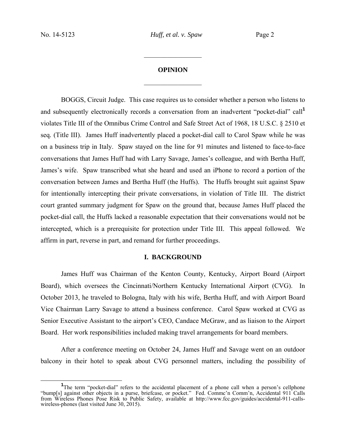# **OPINION**  $\frac{1}{2}$

 $\frac{1}{2}$ 

BOGGS, Circuit Judge. This case requires us to consider whether a person who listens to and subsequently electronically records a conversation from an inadvertent "pocket-dial" call**<sup>1</sup>** violates Title III of the Omnibus Crime Control and Safe Street Act of 1968, 18 U.S.C. § 2510 et seq*.* (Title III). James Huff inadvertently placed a pocket-dial call to Carol Spaw while he was on a business trip in Italy. Spaw stayed on the line for 91 minutes and listened to face-to-face conversations that James Huff had with Larry Savage, James's colleague, and with Bertha Huff, James's wife. Spaw transcribed what she heard and used an iPhone to record a portion of the conversation between James and Bertha Huff (the Huffs). The Huffs brought suit against Spaw for intentionally intercepting their private conversations, in violation of Title III. The district court granted summary judgment for Spaw on the ground that, because James Huff placed the pocket-dial call, the Huffs lacked a reasonable expectation that their conversations would not be intercepted, which is a prerequisite for protection under Title III. This appeal followed. We affirm in part, reverse in part, and remand for further proceedings.

#### **I. BACKGROUND**

James Huff was Chairman of the Kenton County, Kentucky, Airport Board (Airport Board), which oversees the Cincinnati/Northern Kentucky International Airport (CVG). In October 2013, he traveled to Bologna, Italy with his wife, Bertha Huff, and with Airport Board Vice Chairman Larry Savage to attend a business conference. Carol Spaw worked at CVG as Senior Executive Assistant to the airport's CEO, Candace McGraw, and as liaison to the Airport Board. Her work responsibilities included making travel arrangements for board members.

After a conference meeting on October 24, James Huff and Savage went on an outdoor balcony in their hotel to speak about CVG personnel matters, including the possibility of

 $\frac{1}{1}$ <sup>1</sup>The term "pocket-dial" refers to the accidental placement of a phone call when a person's cellphone "bump[s] against other objects in a purse, briefcase, or pocket." Fed. Commc'n Comm'n, Accidental 911 Calls from Wireless Phones Pose Risk to Public Safety, available at http://www.fcc.gov/guides/accidental-911-callswireless-phones (last visited June 30, 2015).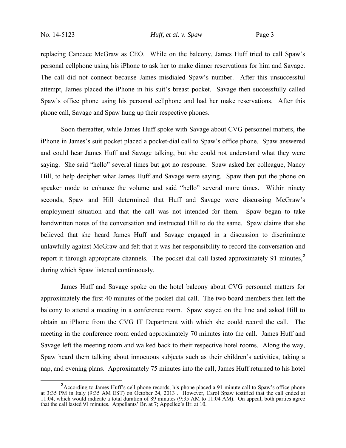replacing Candace McGraw as CEO. While on the balcony, James Huff tried to call Spaw's personal cellphone using his iPhone to ask her to make dinner reservations for him and Savage. The call did not connect because James misdialed Spaw's number. After this unsuccessful attempt, James placed the iPhone in his suit's breast pocket. Savage then successfully called Spaw's office phone using his personal cellphone and had her make reservations. After this phone call, Savage and Spaw hung up their respective phones.

Soon thereafter, while James Huff spoke with Savage about CVG personnel matters, the iPhone in James's suit pocket placed a pocket-dial call to Spaw's office phone. Spaw answered and could hear James Huff and Savage talking, but she could not understand what they were saying. She said "hello" several times but got no response. Spaw asked her colleague, Nancy Hill, to help decipher what James Huff and Savage were saying. Spaw then put the phone on speaker mode to enhance the volume and said "hello" several more times. Within ninety seconds, Spaw and Hill determined that Huff and Savage were discussing McGraw's employment situation and that the call was not intended for them. Spaw began to take handwritten notes of the conversation and instructed Hill to do the same. Spaw claims that she believed that she heard James Huff and Savage engaged in a discussion to discriminate unlawfully against McGraw and felt that it was her responsibility to record the conversation and report it through appropriate channels. The pocket-dial call lasted approximately 91 minutes,**<sup>2</sup>** during which Spaw listened continuously.

James Huff and Savage spoke on the hotel balcony about CVG personnel matters for approximately the first 40 minutes of the pocket-dial call. The two board members then left the balcony to attend a meeting in a conference room. Spaw stayed on the line and asked Hill to obtain an iPhone from the CVG IT Department with which she could record the call. The meeting in the conference room ended approximately 70 minutes into the call. James Huff and Savage left the meeting room and walked back to their respective hotel rooms. Along the way, Spaw heard them talking about innocuous subjects such as their children's activities, taking a nap, and evening plans. Approximately 75 minutes into the call, James Huff returned to his hotel

<sup>&</sup>lt;sup>2</sup> According to James Huff's cell phone records, his phone placed a 91-minute call to Spaw's office phone at 3:35 PM in Italy (9:35 AM EST) on October 24, 2013 . However, Carol Spaw testified that the call ended at 11:04, which would indicate a total duration of 89 minutes (9:35 AM to 11:04 AM). On appeal, both parties agree that the call lasted 91 minutes. Appellants' Br. at 7; Appellee's Br. at 10.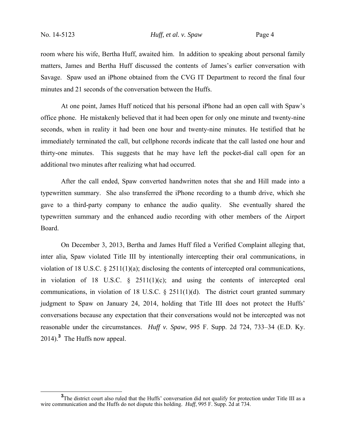room where his wife, Bertha Huff, awaited him. In addition to speaking about personal family matters, James and Bertha Huff discussed the contents of James's earlier conversation with Savage. Spaw used an iPhone obtained from the CVG IT Department to record the final four minutes and 21 seconds of the conversation between the Huffs.

At one point, James Huff noticed that his personal iPhone had an open call with Spaw's office phone. He mistakenly believed that it had been open for only one minute and twenty-nine seconds, when in reality it had been one hour and twenty-nine minutes. He testified that he immediately terminated the call, but cellphone records indicate that the call lasted one hour and thirty-one minutes. This suggests that he may have left the pocket-dial call open for an additional two minutes after realizing what had occurred.

After the call ended, Spaw converted handwritten notes that she and Hill made into a typewritten summary. She also transferred the iPhone recording to a thumb drive, which she gave to a third-party company to enhance the audio quality. She eventually shared the typewritten summary and the enhanced audio recording with other members of the Airport Board.

On December 3, 2013, Bertha and James Huff filed a Verified Complaint alleging that, inter alia*,* Spaw violated Title III by intentionally intercepting their oral communications, in violation of 18 U.S.C. § 2511(1)(a); disclosing the contents of intercepted oral communications, in violation of 18 U.S.C.  $\frac{8}{9}$  2511(1)(c); and using the contents of intercepted oral communications, in violation of 18 U.S.C.  $\S$  2511(1)(d). The district court granted summary judgment to Spaw on January 24, 2014, holding that Title III does not protect the Huffs' conversations because any expectation that their conversations would not be intercepted was not reasonable under the circumstances. *Huff v. Spaw*, 995 F. Supp. 2d 724, 733–34 (E.D. Ky. 2014).**<sup>3</sup>** The Huffs now appeal.

<sup>&</sup>lt;sup>3</sup>The district court also ruled that the Huffs' conversation did not qualify for protection under Title III as a wire communication and the Huffs do not dispute this holding. *Huff*, 995 F. Supp. 2d at 734.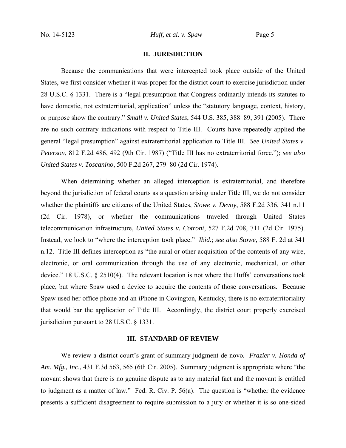## **II. JURISDICTION**

Because the communications that were intercepted took place outside of the United States, we first consider whether it was proper for the district court to exercise jurisdiction under 28 U.S.C. § 1331. There is a "legal presumption that Congress ordinarily intends its statutes to have domestic, not extraterritorial, application" unless the "statutory language, context, history, or purpose show the contrary." *Small v. United States*, 544 U.S. 385, 388–89, 391 (2005). There are no such contrary indications with respect to Title III. Courts have repeatedly applied the general "legal presumption" against extraterritorial application to Title III. *See United States v. Peterson*, 812 F.2d 486, 492 (9th Cir. 1987) ("Title III has no extraterritorial force."); *see also United States v. Toscanino*, 500 F.2d 267, 279–80 (2d Cir. 1974).

When determining whether an alleged interception is extraterritorial, and therefore beyond the jurisdiction of federal courts as a question arising under Title III, we do not consider whether the plaintiffs are citizens of the United States, *Stowe v. Devoy*, 588 F.2d 336, 341 n.11 (2d Cir. 1978), or whether the communications traveled through United States telecommunication infrastructure, *United States v. Cotroni*, 527 F.2d 708, 711 (2d Cir. 1975). Instead, we look to "where the interception took place." *Ibid.*; *see also Stowe*, 588 F. 2d at 341 n.12. Title III defines interception as "the aural or other acquisition of the contents of any wire, electronic, or oral communication through the use of any electronic, mechanical, or other device." 18 U.S.C. § 2510(4). The relevant location is not where the Huffs' conversations took place, but where Spaw used a device to acquire the contents of those conversations. Because Spaw used her office phone and an iPhone in Covington, Kentucky, there is no extraterritoriality that would bar the application of Title III. Accordingly, the district court properly exercised jurisdiction pursuant to 28 U.S.C. § 1331.

## **III. STANDARD OF REVIEW**

 We review a district court's grant of summary judgment de novo*. Frazier v. Honda of Am. Mfg., Inc*., 431 F.3d 563, 565 (6th Cir. 2005). Summary judgment is appropriate where "the movant shows that there is no genuine dispute as to any material fact and the movant is entitled to judgment as a matter of law." Fed. R. Civ. P. 56(a). The question is "whether the evidence presents a sufficient disagreement to require submission to a jury or whether it is so one-sided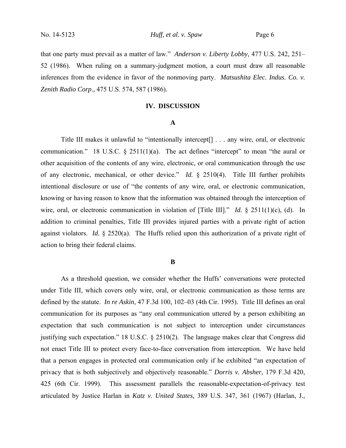that one party must prevail as a matter of law." *Anderson v. Liberty Lobby*, 477 U.S. 242, 251– 52 (1986). When ruling on a summary-judgment motion, a court must draw all reasonable inferences from the evidence in favor of the nonmoving party. *Matsushita Elec. Indus. Co. v. Zenith Radio Corp*., 475 U.S. 574, 587 (1986).

## **IV. DISCUSSION**

#### **A**

Title III makes it unlawful to "intentionally intercept[] . . . any wire, oral, or electronic communication." 18 U.S.C.  $\S$  2511(1)(a). The act defines "intercept" to mean "the aural or other acquisition of the contents of any wire, electronic, or oral communication through the use of any electronic, mechanical, or other device." *Id.* § 2510(4). Title III further prohibits intentional disclosure or use of "the contents of any wire, oral, or electronic communication, knowing or having reason to know that the information was obtained through the interception of wire, oral, or electronic communication in violation of [Title III]." *Id.* § 2511(1)(c), (d). In addition to criminal penalties, Title III provides injured parties with a private right of action against violators. *Id.* § 2520(a). The Huffs relied upon this authorization of a private right of action to bring their federal claims.

#### **B**

As a threshold question, we consider whether the Huffs' conversations were protected under Title III, which covers only wire, oral, or electronic communication as those terms are defined by the statute. *In re Askin*, 47 F.3d 100, 102–03 (4th Cir. 1995). Title III defines an oral communication for its purposes as "any oral communication uttered by a person exhibiting an expectation that such communication is not subject to interception under circumstances justifying such expectation." 18 U.S.C. § 2510(2). The language makes clear that Congress did not enact Title III to protect every face-to-face conversation from interception. We have held that a person engages in protected oral communication only if he exhibited "an expectation of privacy that is both subjectively and objectively reasonable." *Dorris v. Absher*, 179 F.3d 420, 425 (6th Cir. 1999). This assessment parallels the reasonable-expectation-of-privacy test articulated by Justice Harlan in *Katz v. United States*, 389 U.S. 347, 361 (1967) (Harlan, J.,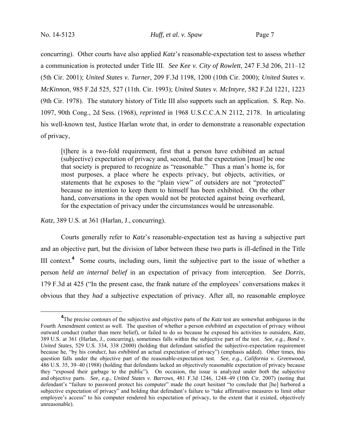concurring). Other courts have also applied *Katz*'s reasonable-expectation test to assess whether a communication is protected under Title III. *See Kee v. City of Rowlett*, 247 F.3d 206, 211–12 (5th Cir. 2001); *United States v. Turner*, 209 F.3d 1198, 1200 (10th Cir. 2000); *United States v. McKinnon*, 985 F.2d 525, 527 (11th. Cir. 1993); *United States v. McIntyre*, 582 F.2d 1221, 1223 (9th Cir. 1978). The statutory history of Title III also supports such an application. S. Rep. No. 1097, 90th Cong., 2d Sess. (1968), *reprinted* in 1968 U.S.C.C.A.N 2112, 2178. In articulating his well-known test, Justice Harlan wrote that, in order to demonstrate a reasonable expectation of privacy,

[t]here is a two-fold requirement, first that a person have exhibited an actual (subjective) expectation of privacy and, second, that the expectation [must] be one that society is prepared to recognize as "reasonable." Thus a man's home is, for most purposes, a place where he expects privacy, but objects, activities, or statements that he exposes to the "plain view" of outsiders are not "protected" because no intention to keep them to himself has been exhibited. On the other hand, conversations in the open would not be protected against being overheard, for the expectation of privacy under the circumstances would be unreasonable.

*Katz*, 389 U.S. at 361 (Harlan, J., concurring).

Courts generally refer to *Katz*'s reasonable-expectation test as having a subjective part and an objective part, but the division of labor between these two parts is ill-defined in the Title III context.<sup>4</sup> Some courts, including ours, limit the subjective part to the issue of whether a person *held an internal belief* in an expectation of privacy from interception. *See Dorris*, 179 F.3d at 425 ("In the present case, the frank nature of the employees' conversations makes it obvious that they *had* a subjective expectation of privacy. After all, no reasonable employee

**<sup>4</sup>** <sup>4</sup>The precise contours of the subjective and objective parts of the *Katz* test are somewhat ambiguous in the Fourth Amendment context as well. The question of whether a person *exhibited* an expectation of privacy without outward conduct (rather than mere belief), or failed to do so because he exposed his activities to outsiders, *Katz*, 389 U.S. at 361 (Harlan, J., concurring), sometimes falls within the subjective part of the test. *See, e.g.*, *Bond v. United States*, 529 U.S. 334, 338 (2000) (holding that defendant satisfied the subjective-expectation requirement because he, "by his *conduct*, has *exhibited* an actual expectation of privacy") (emphasis added). Other times, this question falls under the objective part of the reasonable-expectation test. *See, e.g.*, *California v. Greenwood*, 486 U.S. 35, 39–40 (1988) (holding that defendants lacked an objectively reasonable expectation of privacy because they "exposed their garbage to the public"). On occasion, the issue is analyzed under *both* the subjective and objective parts. *See, e.g.*, *United States v. Barrows*, 481 F.3d 1246, 1248–49 (10th Cir. 2007) (noting that defendant's "failure to password protect his computer" made the court hesitant "to conclude that [he] harbored a subjective expectation of privacy" and holding that defendant's failure to "take affirmative measures to limit other employee's access" to his computer rendered his expectation of privacy, to the extent that it existed, objectively unreasonable).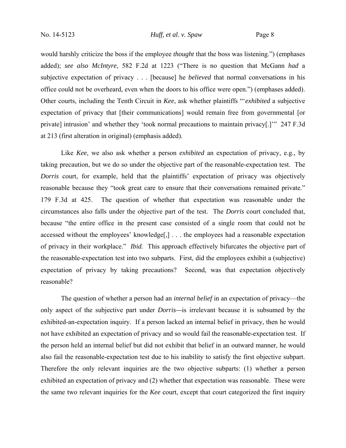would harshly criticize the boss if the employee *thought* that the boss was listening.") (emphases added); *see also McIntyre*, 582 F.2d at 1223 ("There is no question that McGann *had* a subjective expectation of privacy . . . [because] he *believed* that normal conversations in his office could not be overheard, even when the doors to his office were open.") (emphases added). Other courts, including the Tenth Circuit in *Kee*, ask whether plaintiffs "'*exhibited* a subjective expectation of privacy that [their communications] would remain free from governmental [or private] intrusion' and whether they 'took normal precautions to maintain privacy[.]'" 247 F.3d at 213 (first alteration in original) (emphasis added).

Like *Kee*, we also ask whether a person *exhibited* an expectation of privacy, e.g., by taking precaution, but we do so under the objective part of the reasonable-expectation test. The *Dorris* court, for example, held that the plaintiffs' expectation of privacy was objectively reasonable because they "took great care to ensure that their conversations remained private." 179 F.3d at 425. The question of whether that expectation was reasonable under the circumstances also falls under the objective part of the test. The *Dorris* court concluded that, because "the entire office in the present case consisted of a single room that could not be accessed without the employees' knowledge[,] . . . the employees had a reasonable expectation of privacy in their workplace." *Ibid.* This approach effectively bifurcates the objective part of the reasonable-expectation test into two subparts. First, did the employees exhibit a (subjective) expectation of privacy by taking precautions? Second, was that expectation objectively reasonable?

The question of whether a person had an *internal belief* in an expectation of privacy—the only aspect of the subjective part under *Dorris—*is irrelevant because it is subsumed by the exhibited-an-expectation inquiry. If a person lacked an internal belief in privacy, then he would not have exhibited an expectation of privacy and so would fail the reasonable-expectation test. If the person held an internal belief but did not exhibit that belief in an outward manner, he would also fail the reasonable-expectation test due to his inability to satisfy the first objective subpart. Therefore the only relevant inquiries are the two objective subparts: (1) whether a person exhibited an expectation of privacy and (2) whether that expectation was reasonable. These were the same two relevant inquiries for the *Kee* court, except that court categorized the first inquiry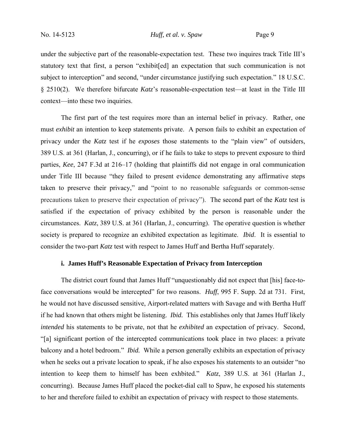under the subjective part of the reasonable-expectation test. These two inquires track Title III's statutory text that first, a person "exhibit[ed] an expectation that such communication is not subject to interception" and second, "under circumstance justifying such expectation." 18 U.S.C. § 2510(2). We therefore bifurcate *Katz*'s reasonable-expectation test—at least in the Title III context—into these two inquiries.

 The first part of the test requires more than an internal belief in privacy. Rather, one must *exhibit* an intention to keep statements private. A person fails to exhibit an expectation of privacy under the *Katz* test if he *exposes* those statements to the "plain view" of outsiders, 389 U.S. at 361 (Harlan, J., concurring), or if he fails to take to steps to prevent exposure to third parties, *Kee*, 247 F.3d at 216–17 (holding that plaintiffs did not engage in oral communication under Title III because "they failed to present evidence demonstrating any affirmative steps taken to preserve their privacy," and "point to no reasonable safeguards or common-sense precautions taken to preserve their expectation of privacy"). The second part of the *Katz* test is satisfied if the expectation of privacy exhibited by the person is reasonable under the circumstances. *Katz*, 389 U.S. at 361 (Harlan, J., concurring). The operative question is whether society is prepared to recognize an exhibited expectation as legitimate. *Ibid*. It is essential to consider the two-part *Katz* test with respect to James Huff and Bertha Huff separately.

## **i. James Huff's Reasonable Expectation of Privacy from Interception**

The district court found that James Huff "unquestionably did not expect that [his] face-toface conversations would be intercepted" for two reasons. *Huff*, 995 F. Supp. 2d at 731. First, he would not have discussed sensitive, Airport-related matters with Savage and with Bertha Huff if he had known that others might be listening. *Ibid.* This establishes only that James Huff likely *intended* his statements to be private, not that he *exhibited* an expectation of privacy. Second, "[a] significant portion of the intercepted communications took place in two places: a private balcony and a hotel bedroom." *Ibid.* While a person generally exhibits an expectation of privacy when he seeks out a private location to speak, if he also exposes his statements to an outsider "no intention to keep them to himself has been exhbited." *Katz*, 389 U.S. at 361 (Harlan J., concurring). Because James Huff placed the pocket-dial call to Spaw, he exposed his statements to her and therefore failed to exhibit an expectation of privacy with respect to those statements.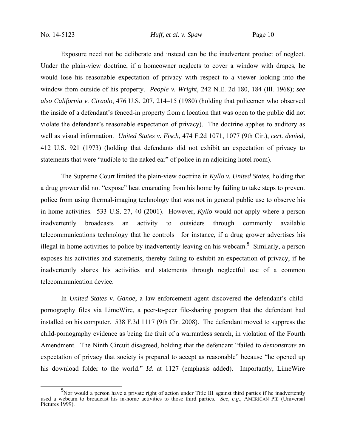Exposure need not be deliberate and instead can be the inadvertent product of neglect. Under the plain-view doctrine, if a homeowner neglects to cover a window with drapes, he would lose his reasonable expectation of privacy with respect to a viewer looking into the window from outside of his property. *People v. Wright*, 242 N.E. 2d 180, 184 (Ill. 1968); *see also California v. Ciraolo*, 476 U.S. 207, 214–15 (1980) (holding that policemen who observed the inside of a defendant's fenced-in property from a location that was open to the public did not violate the defendant's reasonable expectation of privacy). The doctrine applies to auditory as well as visual information. *United States v. Fisch*, 474 F.2d 1071, 1077 (9th Cir.), *cert. denied,*  412 U.S. 921 (1973) (holding that defendants did not exhibit an expectation of privacy to statements that were "audible to the naked ear" of police in an adjoining hotel room).

The Supreme Court limited the plain-view doctrine in *Kyllo v. United States*, holding that a drug grower did not "expose" heat emanating from his home by failing to take steps to prevent police from using thermal-imaging technology that was not in general public use to observe his in-home activities. 533 U.S. 27, 40 (2001). However, *Kyllo* would not apply where a person inadvertently broadcasts an activity to outsiders through commonly available telecommunications technology that he controls—for instance, if a drug grower advertises his illegal in-home activities to police by inadvertently leaving on his webcam.**<sup>5</sup>** Similarly, a person exposes his activities and statements, thereby failing to exhibit an expectation of privacy, if he inadvertently shares his activities and statements through neglectful use of a common telecommunication device.

In *United States v. Ganoe*, a law-enforcement agent discovered the defendant's childpornography files via LimeWire, a peer-to-peer file-sharing program that the defendant had installed on his computer. 538 F.3d 1117 (9th Cir. 2008). The defendant moved to suppress the child-pornography evidence as being the fruit of a warrantless search, in violation of the Fourth Amendment. The Ninth Circuit disagreed, holding that the defendant "failed to *demonstrate* an expectation of privacy that society is prepared to accept as reasonable" because "he opened up his download folder to the world." *Id*. at 1127 (emphasis added). Importantly, LimeWire

<sup>&</sup>lt;sup>5</sup> Nor would a person have a private right of action under Title III against third parties if he inadvertently used a webcam to broadcast his in-home activities to those third parties. *See, e.g.*, AMERICAN PIE (Universal Pictures 1999).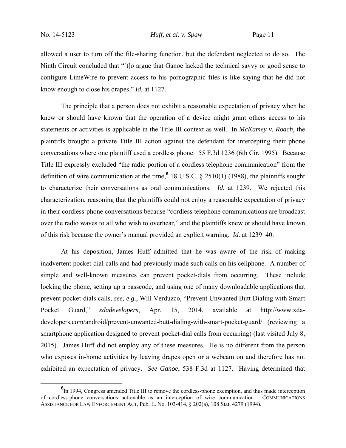allowed a user to turn off the file-sharing function, but the defendant neglected to do so. The Ninth Circuit concluded that "[t]o argue that Ganoe lacked the technical savvy or good sense to configure LimeWire to prevent access to his pornographic files is like saying that he did not know enough to close his drapes." *Id.* at 1127.

The principle that a person does not exhibit a reasonable expectation of privacy when he knew or should have known that the operation of a device might grant others access to his statements or activities is applicable in the Title III context as well. In *McKamey v. Roach*, the plaintiffs brought a private Title III action against the defendant for intercepting their phone conversations where one plaintiff used a cordless phone. 55 F.3d 1236 (6th Cir. 1995). Because Title III expressly excluded "the radio portion of a cordless telephone communication" from the definition of wire communication at the time,**<sup>6</sup>** 18 U.S.C. § 2510(1) (1988), the plaintiffs sought to characterize their conversations as oral communications. *Id.* at 1239*.* We rejected this characterization, reasoning that the plaintiffs could not enjoy a reasonable expectation of privacy in their cordless-phone conversations because "cordless telephone communications are broadcast over the radio waves to all who wish to overhear," and the plaintiffs knew or should have known of this risk because the owner's manual provided an explicit warning. *Id.* at 1239–40.

At his deposition, James Huff admitted that he was aware of the risk of making inadvertent pocket-dial calls and had previously made such calls on his cellphone. A number of simple and well-known measures can prevent pocket-dials from occurring. These include locking the phone, setting up a passcode, and using one of many downloadable applications that prevent pocket-dials calls, *see, e.g*., Will Verduzco, "Prevent Unwanted Butt Dialing with Smart Pocket Guard," *xdadevelopers*, Apr. 15, 2014, available at http://www.xdadevelopers.com/android/prevent-unwanted-butt-dialing-with-smart-pocket-guard/ (reviewing a smartphone application designed to prevent pocket-dial calls from occurring) (last visited July 8, 2015). James Huff did not employ any of these measures. He is no different from the person who exposes in-home activities by leaving drapes open or a webcam on and therefore has not exhibited an expectation of privacy. *See Ganoe*, 538 F.3d at 1127. Having determined that

**<sup>6</sup>** <sup>6</sup>In 1994, Congress amended Title III to remove the cordless-phone exemption, and thus made interception of cordless-phone conversations actionable as an interception of wire communication. COMMUNICATIONS ASSISTANCE FOR LAW ENFORCEMENT ACT, Pub. L. No. 103-414, § 202(a), 108 Stat. 4279 (1994).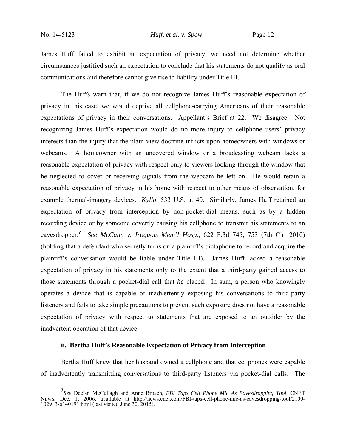James Huff failed to exhibit an expectation of privacy, we need not determine whether circumstances justified such an expectation to conclude that his statements do not qualify as oral communications and therefore cannot give rise to liability under Title III.

The Huffs warn that, if we do not recognize James Huff's reasonable expectation of privacy in this case, we would deprive all cellphone-carrying Americans of their reasonable expectations of privacy in their conversations. Appellant's Brief at 22. We disagree. Not recognizing James Huff's expectation would do no more injury to cellphone users' privacy interests than the injury that the plain-view doctrine inflicts upon homeowners with windows or webcams. A homeowner with an uncovered window or a broadcasting webcam lacks a reasonable expectation of privacy with respect only to viewers looking through the window that he neglected to cover or receiving signals from the webcam he left on. He would retain a reasonable expectation of privacy in his home with respect to other means of observation, for example thermal-imagery devices. *Kyllo*, 533 U.S. at 40. Similarly, James Huff retained an expectation of privacy from interception by non-pocket-dial means, such as by a hidden recording device or by someone covertly causing his cellphone to transmit his statements to an eavesdropper.**<sup>7</sup>** *See McCann v. Iroquois Mem'l Hosp.*, 622 F.3d 745, 753 (7th Cir. 2010) (holding that a defendant who secretly turns on a plaintiff's dictaphone to record and acquire the plaintiff's conversation would be liable under Title III). James Huff lacked a reasonable expectation of privacy in his statements only to the extent that a third-party gained access to those statements through a pocket-dial call that *he* placed. In sum, a person who knowingly operates a device that is capable of inadvertently exposing his conversations to third-party listeners and fails to take simple precautions to prevent such exposure does not have a reasonable expectation of privacy with respect to statements that are exposed to an outsider by the inadvertent operation of that device.

## **ii. Bertha Huff's Reasonable Expectation of Privacy from Interception**

Bertha Huff knew that her husband owned a cellphone and that cellphones were capable of inadvertently transmitting conversations to third-party listeners via pocket-dial calls. The

**<sup>7</sup>** *See* Declan McCullagh and Anne Broach, *FBI Taps Cell Phone Mic As Eavesdropping Tool*, CNET NEWS, Dec. 1, 2006, available at http://news.cnet.com/FBI-taps-cell-phone-mic-as-eavesdropping-tool/2100- 1029\_3-6140191.html (last visited June 30, 2015).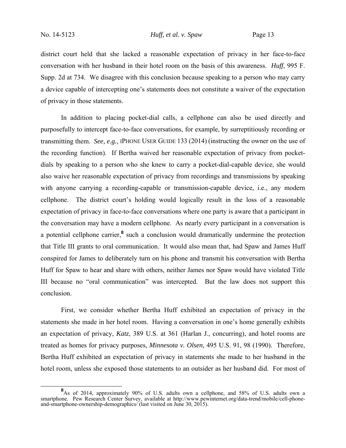district court held that she lacked a reasonable expectation of privacy in her face-to-face conversation with her husband in their hotel room on the basis of this awareness. *Huff*, 995 F. Supp. 2d at 734. We disagree with this conclusion because speaking to a person who may carry a device capable of intercepting one's statements does not constitute a waiver of the expectation of privacy in those statements.

In addition to placing pocket-dial calls, a cellphone can also be used directly and purposefully to intercept face-to-face conversations, for example, by surreptitiously recording or transmitting them. *See, e.g.*, IPHONE USER GUIDE 133 (2014) (instructing the owner on the use of the recording function). If Bertha waived her reasonable expectation of privacy from pocketdials by speaking to a person who she knew to carry a pocket-dial-capable device, she would also waive her reasonable expectation of privacy from recordings and transmissions by speaking with anyone carrying a recording-capable or transmission-capable device, i.e., any modern cellphone. The district court's holding would logically result in the loss of a reasonable expectation of privacy in face-to-face conversations where one party is aware that a participant in the conversation may have a modern cellphone. As nearly every participant in a conversation is a potential cellphone carrier,<sup>8</sup> such a conclusion would dramatically undermine the protection that Title III grants to oral communication. It would also mean that, had Spaw and James Huff conspired for James to deliberately turn on his phone and transmit his conversation with Bertha Huff for Spaw to hear and share with others, neither James nor Spaw would have violated Title III because no "oral communication" was intercepted. But the law does not support this conclusion.

First, we consider whether Bertha Huff exhibited an expectation of privacy in the statements she made in her hotel room. Having a conversation in one's home generally exhibits an expectation of privacy, *Katz*, 389 U.S. at 361 (Harlan J., concurring), and hotel rooms are treated as homes for privacy purposes, *Minnesota v. Olsen*, 495 U.S. 91, 98 (1990). Therefore, Bertha Huff exhibited an expectation of privacy in statements she made to her husband in the hotel room, unless she exposed those statements to an outsider as her husband did. For most of

<sup>&</sup>lt;sup>8</sup> As of 2014, approximately 90% of U.S. adults own a cellphone, and 58% of U.S. adults own a smartphone. Pew Research Center Survey, available at http://www.pewinternet.org/data-trend/mobile/cell-phoneand-smartphone-ownership-demographics/ (last visited on June 30, 2015).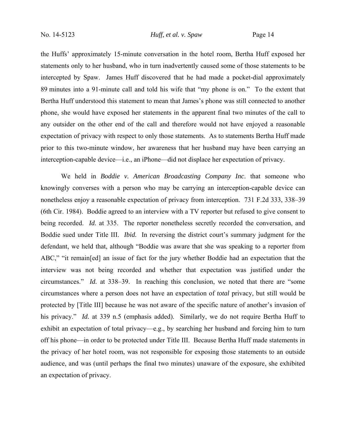the Huffs' approximately 15-minute conversation in the hotel room, Bertha Huff exposed her statements only to her husband, who in turn inadvertently caused some of those statements to be intercepted by Spaw. James Huff discovered that he had made a pocket-dial approximately 89 minutes into a 91-minute call and told his wife that "my phone is on." To the extent that Bertha Huff understood this statement to mean that James's phone was still connected to another phone, she would have exposed her statements in the apparent final two minutes of the call to any outsider on the other end of the call and therefore would not have enjoyed a reasonable expectation of privacy with respect to only those statements. As to statements Bertha Huff made prior to this two-minute window, her awareness that her husband may have been carrying an interception-capable device—i.e., an iPhone—did not displace her expectation of privacy.

We held in *Boddie v. American Broadcasting Company Inc*. that someone who knowingly converses with a person who may be carrying an interception-capable device can nonetheless enjoy a reasonable expectation of privacy from interception. 731 F.2d 333, 338–39 (6th Cir. 1984). Boddie agreed to an interview with a TV reporter but refused to give consent to being recorded. *Id.* at 335. The reporter nonetheless secretly recorded the conversation, and Boddie sued under Title III. *Ibid.* In reversing the district court's summary judgment for the defendant, we held that, although "Boddie was aware that she was speaking to a reporter from ABC," "it remain[ed] an issue of fact for the jury whether Boddie had an expectation that the interview was not being recorded and whether that expectation was justified under the circumstances." *Id.* at 338–39. In reaching this conclusion, we noted that there are "some circumstances where a person does not have an expectation of *total* privacy, but still would be protected by [Title III] because he was not aware of the specific nature of another's invasion of his privacy." *Id.* at 339 n.5 (emphasis added). Similarly, we do not require Bertha Huff to exhibit an expectation of total privacy—e.g., by searching her husband and forcing him to turn off his phone—in order to be protected under Title III. Because Bertha Huff made statements in the privacy of her hotel room, was not responsible for exposing those statements to an outside audience, and was (until perhaps the final two minutes) unaware of the exposure, she exhibited an expectation of privacy.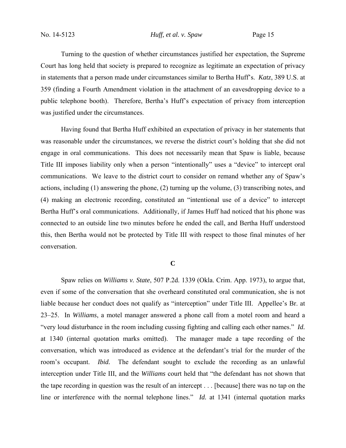Turning to the question of whether circumstances justified her expectation, the Supreme Court has long held that society is prepared to recognize as legitimate an expectation of privacy in statements that a person made under circumstances similar to Bertha Huff's. *Katz*, 389 U.S. at 359 (finding a Fourth Amendment violation in the attachment of an eavesdropping device to a public telephone booth). Therefore, Bertha's Huff's expectation of privacy from interception was justified under the circumstances.

Having found that Bertha Huff exhibited an expectation of privacy in her statements that was reasonable under the circumstances, we reverse the district court's holding that she did not engage in oral communications. This does not necessarily mean that Spaw is liable, because Title III imposes liability only when a person "intentionally" uses a "device" to intercept oral communications. We leave to the district court to consider on remand whether any of Spaw's actions, including (1) answering the phone, (2) turning up the volume, (3) transcribing notes, and (4) making an electronic recording, constituted an "intentional use of a device" to intercept Bertha Huff's oral communications. Additionally, if James Huff had noticed that his phone was connected to an outside line two minutes before he ended the call, and Bertha Huff understood this, then Bertha would not be protected by Title III with respect to those final minutes of her conversation.

## **C**

Spaw relies on *Williams v. State*, 507 P.2d. 1339 (Okla. Crim. App. 1973), to argue that, even if some of the conversation that she overheard constituted oral communication, she is not liable because her conduct does not qualify as "interception" under Title III. Appellee's Br. at 23–25. In *Williams*, a motel manager answered a phone call from a motel room and heard a "very loud disturbance in the room including cussing fighting and calling each other names." *Id.*  at 1340 (internal quotation marks omitted). The manager made a tape recording of the conversation, which was introduced as evidence at the defendant's trial for the murder of the room's occupant. *Ibid.* The defendant sought to exclude the recording as an unlawful interception under Title III, and the *Williams* court held that "the defendant has not shown that the tape recording in question was the result of an intercept . . . [because] there was no tap on the line or interference with the normal telephone lines." *Id.* at 1341 (internal quotation marks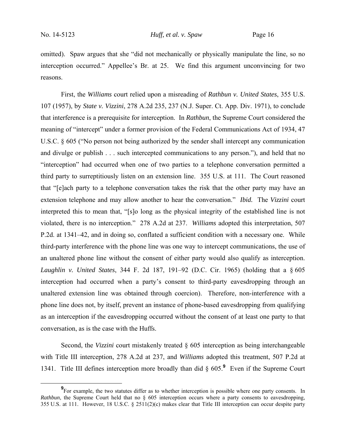omitted). Spaw argues that she "did not mechanically or physically manipulate the line, so no interception occurred." Appellee's Br. at 25. We find this argument unconvincing for two reasons.

First, the *Williams* court relied upon a misreading of *Rathbun v. United States*, 355 U.S. 107 (1957), by *State v. Vizzini*, 278 A.2d 235, 237 (N.J. Super. Ct. App. Div. 1971), to conclude that interference is a prerequisite for interception. In *Rathbun*, the Supreme Court considered the meaning of "intercept" under a former provision of the Federal Communications Act of 1934, 47 U.S.C. § 605 ("No person not being authorized by the sender shall intercept any communication and divulge or publish . . . such intercepted communications to any person."), and held that no "interception" had occurred when one of two parties to a telephone conversation permitted a third party to surreptitiously listen on an extension line. 355 U.S. at 111. The Court reasoned that "[e]ach party to a telephone conversation takes the risk that the other party may have an extension telephone and may allow another to hear the conversation." *Ibid.* The *Vizzini* court interpreted this to mean that, "[s]o long as the physical integrity of the established line is not violated, there is no interception." 278 A.2d at 237. *Williams* adopted this interpretation, 507 P.2d. at 1341–42, and in doing so, conflated a sufficient condition with a necessary one. While third-party interference with the phone line was one way to intercept communications, the use of an unaltered phone line without the consent of either party would also qualify as interception. *Laughlin v. United States*, 344 F. 2d 187, 191–92 (D.C. Cir. 1965) (holding that a § 605 interception had occurred when a party's consent to third-party eavesdropping through an unaltered extension line was obtained through coercion). Therefore, non-interference with a phone line does not, by itself, prevent an instance of phone-based eavesdropping from qualifying as an interception if the eavesdropping occurred without the consent of at least one party to that conversation, as is the case with the Huffs.

Second, the *Vizzini* court mistakenly treated § 605 interception as being interchangeable with Title III interception, 278 A.2d at 237, and *Williams* adopted this treatment, 507 P.2d at 1341. Title III defines interception more broadly than did § 605.**<sup>9</sup>** Even if the Supreme Court

**<sup>9</sup>** <sup>9</sup>For example, the two statutes differ as to whether interception is possible where one party consents. In *Rathbun*, the Supreme Court held that no § 605 interception occurs where a party consents to eavesdropping, 355 U.S. at 111. However, 18 U.S.C. § 2511(2)(c) makes clear that Title III interception can occur despite party